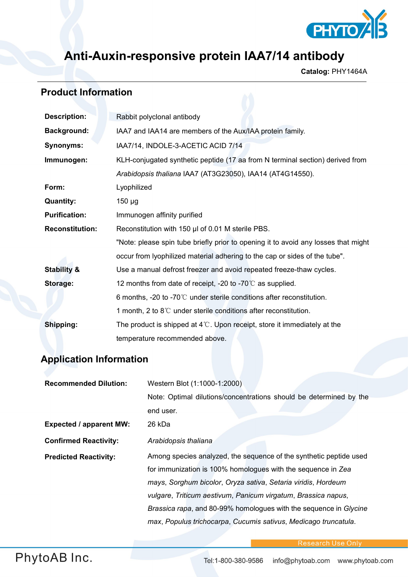

## **Anti-Auxin-responsive protein IAA7/14 antibody**

**Catalog:** PHY1464A

## **Product Information**

| <b>Description:</b>    | Rabbit polyclonal antibody                                                         |  |
|------------------------|------------------------------------------------------------------------------------|--|
| <b>Background:</b>     | IAA7 and IAA14 are members of the Aux/IAA protein family.                          |  |
| <b>Synonyms:</b>       | IAA7/14, INDOLE-3-ACETIC ACID 7/14                                                 |  |
| Immunogen:             | KLH-conjugated synthetic peptide (17 aa from N terminal section) derived from      |  |
|                        | Arabidopsis thaliana IAA7 (AT3G23050), IAA14 (AT4G14550).                          |  |
| Form:                  | Lyophilized                                                                        |  |
| <b>Quantity:</b>       | $150 \mu g$                                                                        |  |
| <b>Purification:</b>   | Immunogen affinity purified                                                        |  |
| <b>Reconstitution:</b> | Reconstitution with 150 µl of 0.01 M sterile PBS.                                  |  |
|                        | "Note: please spin tube briefly prior to opening it to avoid any losses that might |  |
|                        | occur from lyophilized material adhering to the cap or sides of the tube".         |  |
| <b>Stability &amp;</b> | Use a manual defrost freezer and avoid repeated freeze-thaw cycles.                |  |
| Storage:               | 12 months from date of receipt, -20 to -70 $\degree$ as supplied.                  |  |
|                        | 6 months, -20 to -70 $\degree$ C under sterile conditions after reconstitution.    |  |
|                        | 1 month, 2 to $8^\circ\text{C}$ under sterile conditions after reconstitution.     |  |
| Shipping:              | The product is shipped at $4^{\circ}$ . Upon receipt, store it immediately at the  |  |
|                        | temperature recommended above.                                                     |  |

## **Application Information**

| <b>Recommended Dilution:</b>   | Western Blot (1:1000-1:2000)                                       |
|--------------------------------|--------------------------------------------------------------------|
|                                | Note: Optimal dilutions/concentrations should be determined by the |
|                                | end user.                                                          |
| <b>Expected / apparent MW:</b> | 26 kDa                                                             |
| <b>Confirmed Reactivity:</b>   | Arabidopsis thaliana                                               |
| <b>Predicted Reactivity:</b>   | Among species analyzed, the sequence of the synthetic peptide used |
|                                | for immunization is 100% homologues with the sequence in Zea       |
|                                | mays, Sorghum bicolor, Oryza sativa, Setaria viridis, Hordeum      |
|                                | vulgare, Triticum aestivum, Panicum virgatum, Brassica napus,      |
|                                | Brassica rapa, and 80-99% homologues with the sequence in Glycine  |
|                                | max, Populus trichocarpa, Cucumis sativus, Medicago truncatula.    |

Research Use Only